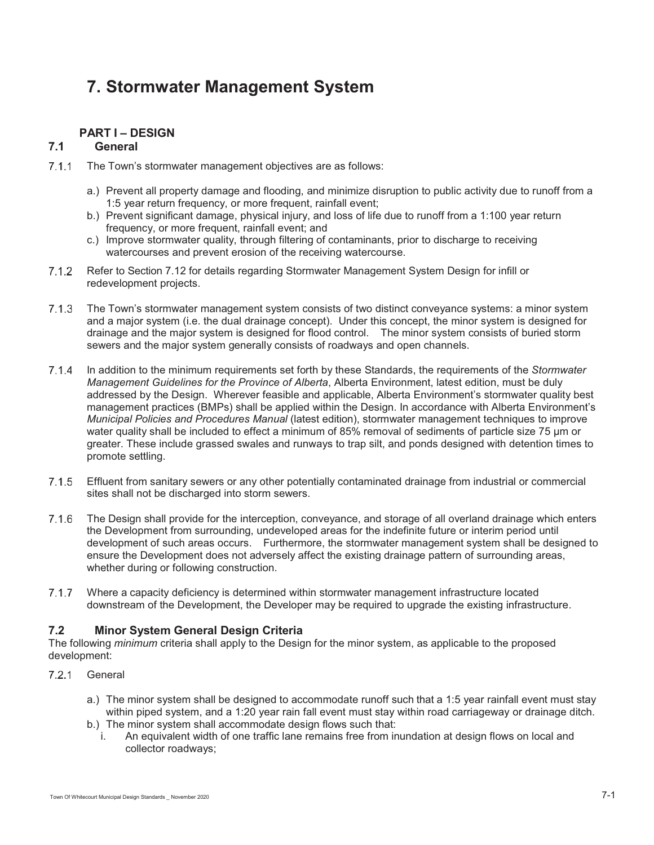# **7. Stormwater Management System**

# **PART I – DESIGN**

# **7.1 General**

- 7.1.1 The Town's stormwater management objectives are as follows:
	- a.) Prevent all property damage and flooding, and minimize disruption to public activity due to runoff from a 1:5 year return frequency, or more frequent, rainfall event;
	- b.) Prevent significant damage, physical injury, and loss of life due to runoff from a 1:100 year return frequency, or more frequent, rainfall event; and
	- c.) Improve stormwater quality, through filtering of contaminants, prior to discharge to receiving watercourses and prevent erosion of the receiving watercourse.
- Refer to Section 7.12 for details regarding Stormwater Management System Design for infill or redevelopment projects.
- The Town's stormwater management system consists of two distinct conveyance systems: a minor system and a major system (i.e. the dual drainage concept). Under this concept, the minor system is designed for drainage and the major system is designed for flood control. The minor system consists of buried storm sewers and the major system generally consists of roadways and open channels.
- In addition to the minimum requirements set forth by these Standards, the requirements of the *Stormwater Management Guidelines for the Province of Alberta*, Alberta Environment, latest edition, must be duly addressed by the Design. Wherever feasible and applicable, Alberta Environment's stormwater quality best management practices (BMPs) shall be applied within the Design. In accordance with Alberta Environment's *Municipal Policies and Procedures Manual* (latest edition), stormwater management techniques to improve water quality shall be included to effect a minimum of 85% removal of sediments of particle size 75 μm or greater. These include grassed swales and runways to trap silt, and ponds designed with detention times to promote settling.
- Effluent from sanitary sewers or any other potentially contaminated drainage from industrial or commercial sites shall not be discharged into storm sewers.
- The Design shall provide for the interception, conveyance, and storage of all overland drainage which enters the Development from surrounding, undeveloped areas for the indefinite future or interim period until development of such areas occurs. Furthermore, the stormwater management system shall be designed to ensure the Development does not adversely affect the existing drainage pattern of surrounding areas, whether during or following construction.
- 7.1.7 Where a capacity deficiency is determined within stormwater management infrastructure located downstream of the Development, the Developer may be required to upgrade the existing infrastructure.

# **7.2 Minor System General Design Criteria**

The following *minimum* criteria shall apply to the Design for the minor system, as applicable to the proposed development:

- 7.2.1 General
	- a.) The minor system shall be designed to accommodate runoff such that a 1:5 year rainfall event must stay within piped system, and a 1:20 year rain fall event must stay within road carriageway or drainage ditch.
	- b.) The minor system shall accommodate design flows such that:
		- i. An equivalent width of one traffic lane remains free from inundation at design flows on local and collector roadways;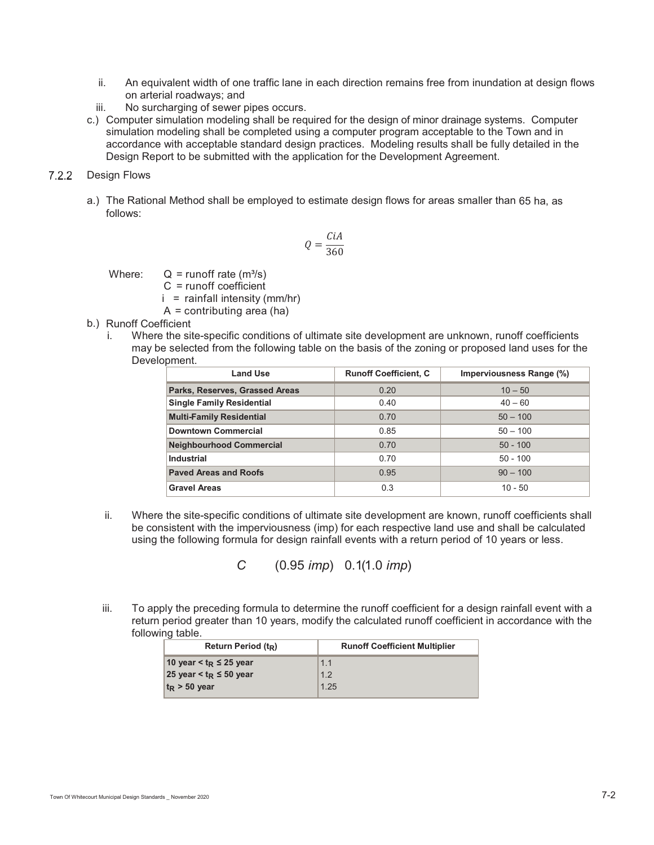- ii. An equivalent width of one traffic lane in each direction remains free from inundation at design flows on arterial roadways; and
- iii. No surcharging of sewer pipes occurs.
- c.) Computer simulation modeling shall be required for the design of minor drainage systems. Computer simulation modeling shall be completed using a computer program acceptable to the Town and in accordance with acceptable standard design practices. Modeling results shall be fully detailed in the Design Report to be submitted with the application for the Development Agreement.

# 7.2.2 Design Flows

a.) The Rational Method shall be employed to estimate design flows for areas smaller than 65 ha, as follows:

$$
Q = \frac{CiA}{360}
$$

Where:  $Q = runoff rate (m<sup>3</sup>/s)$ 

- C = runoff coefficient
- $i =$  rainfall intensity (mm/hr)
- $A =$  contributing area (ha)
- b.) Runoff Coefficient
	- i. Where the site-specific conditions of ultimate site development are unknown, runoff coefficients may be selected from the following table on the basis of the zoning or proposed land uses for the Development.

| <b>Land Use</b>                  | <b>Runoff Coefficient, C</b> | Imperviousness Range (%) |
|----------------------------------|------------------------------|--------------------------|
| Parks, Reserves, Grassed Areas   | 0.20                         | $10 - 50$                |
| <b>Single Family Residential</b> | 0.40                         | $40 - 60$                |
| <b>Multi-Family Residential</b>  | 0.70                         | $50 - 100$               |
| <b>Downtown Commercial</b>       | 0.85                         | $50 - 100$               |
| <b>Neighbourhood Commercial</b>  | 0.70                         | $50 - 100$               |
| <b>Industrial</b>                | 0.70                         | $50 - 100$               |
| <b>Paved Areas and Roofs</b>     | 0.95                         | $90 - 100$               |
| <b>Gravel Areas</b>              | 0.3                          | $10 - 50$                |

ii. Where the site-specific conditions of ultimate site development are known, runoff coefficients shall be consistent with the imperviousness (imp) for each respective land use and shall be calculated using the following formula for design rainfall events with a return period of 10 years or less.

*C* (0.95 *imp*) 0.1(1.0 *imp*)

iii. To apply the preceding formula to determine the runoff coefficient for a design rainfall event with a return period greater than 10 years, modify the calculated runoff coefficient in accordance with the following table.

| <b>Runoff Coefficient Multiplier</b> |
|--------------------------------------|
|                                      |
|                                      |
|                                      |
|                                      |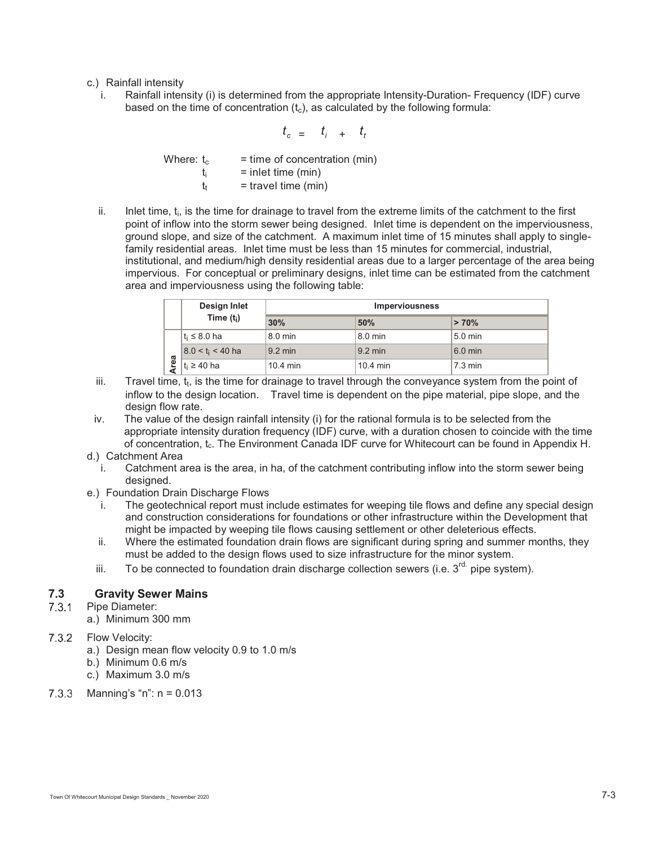- c.) Rainfall intensity
	- i. Rainfall intensity (i) is determined from the appropriate Intensity-Duration- Frequency (IDF) curve based on the time of concentration  $(t<sub>c</sub>)$ , as calculated by the following formula:

$$
t_c = t_i + t_t
$$

| Where: t <sub>c</sub> | $=$ time of concentration (min) |
|-----------------------|---------------------------------|
|                       | $=$ inlet time (min)            |
|                       | $=$ travel time (min)           |

ii. Inlet time, t<sub>i</sub>, is the time for drainage to travel from the extreme limits of the catchment to the first point of inflow into the storm sewer being designed. Inlet time is dependent on the imperviousness, ground slope, and size of the catchment. A maximum inlet time of 15 minutes shall apply to singlefamily residential areas. Inlet time must be less than 15 minutes for commercial, industrial, institutional, and medium/high density residential areas due to a larger percentage of the area being impervious. For conceptual or preliminary designs, inlet time can be estimated from the catchment area and imperviousness using the following table:

|      | Design Inlet        | <b>Imperviousness</b> |                   |                   |
|------|---------------------|-----------------------|-------------------|-------------------|
|      | Time $(t_i)$        | 30%                   | 50%               | >70%              |
|      | $t_i \leq 8.0$ ha   | 8.0 min               | 8.0 min           | $5.0$ min         |
|      | $8.0 < t_i < 40$ ha | $9.2 \text{ min}$     | $9.2 \text{ min}$ | $6.0$ min         |
| Area | $t_i \geq 40$ ha    | $10.4$ min            | $10.4$ min        | $7.3 \text{ min}$ |

- iii. Travel time,  $t_t$ , is the time for drainage to travel through the conveyance system from the point of inflow to the design location. Travel time is dependent on the pipe material, pipe slope, and the design flow rate.
- iv. The value of the design rainfall intensity (i) for the rational formula is to be selected from the appropriate intensity duration frequency (IDF) curve, with a duration chosen to coincide with the time of concentration, t<sub>c</sub>. The Environment Canada IDF curve for Whitecourt can be found in Appendix H.
- d.) Catchment Area
	- i. Catchment area is the area, in ha, of the catchment contributing inflow into the storm sewer being designed.
- e.) Foundation Drain Discharge Flows
	- i. The geotechnical report must include estimates for weeping tile flows and define any special design and construction considerations for foundations or other infrastructure within the Development that might be impacted by weeping tile flows causing settlement or other deleterious effects.
	- ii. Where the estimated foundation drain flows are significant during spring and summer months, they must be added to the design flows used to size infrastructure for the minor system.
	- iii. To be connected to foundation drain discharge collection sewers (i.e.  $3<sup>rd</sup>$  pipe system).

# **7.3 Gravity Sewer Mains**

- 7.3.1 Pipe Diameter:
	- a.) Minimum 300 mm
- 7.3.2 Flow Velocity:
	- a.) Design mean flow velocity 0.9 to 1.0 m/s
	- b.) Minimum 0.6 m/s
	- c.) Maximum 3.0 m/s
- 7.3.3 Manning's "n":  $n = 0.013$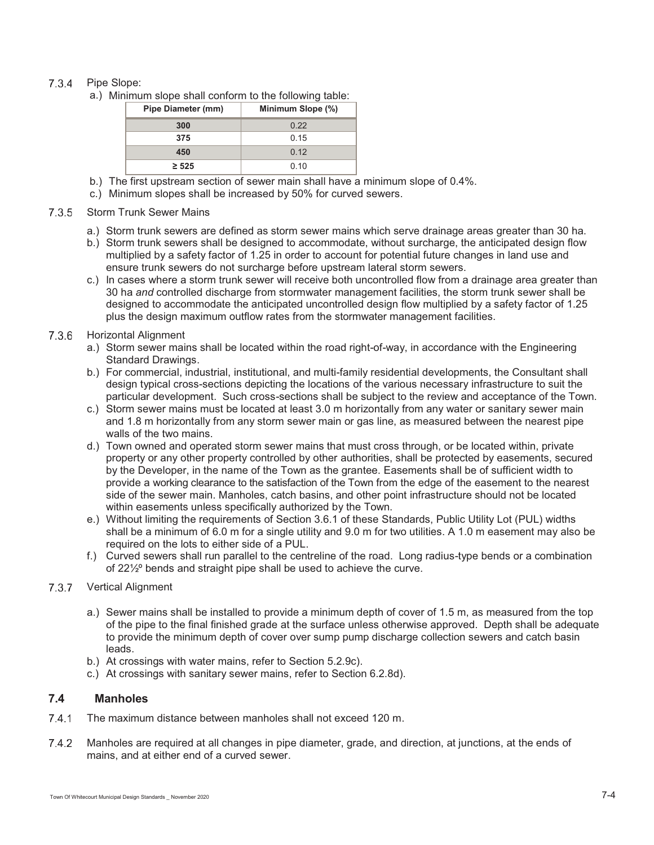# 7.3.4 Pipe Slope:

a.) Minimum slope shall conform to the following table:

| <b>Pipe Diameter (mm)</b> | Minimum Slope (%) |
|---------------------------|-------------------|
| 300                       | 0.22              |
| 375                       | 0.15              |
| 450                       | 0.12              |
| $\geq 525$                | 0.10              |

- b.) The first upstream section of sewer main shall have a minimum slope of 0.4%.
- c.) Minimum slopes shall be increased by 50% for curved sewers.
- 7.3.5 Storm Trunk Sewer Mains
	- a.) Storm trunk sewers are defined as storm sewer mains which serve drainage areas greater than 30 ha.
	- b.) Storm trunk sewers shall be designed to accommodate, without surcharge, the anticipated design flow multiplied by a safety factor of 1.25 in order to account for potential future changes in land use and ensure trunk sewers do not surcharge before upstream lateral storm sewers.
	- c.) In cases where a storm trunk sewer will receive both uncontrolled flow from a drainage area greater than 30 ha *and* controlled discharge from stormwater management facilities, the storm trunk sewer shall be designed to accommodate the anticipated uncontrolled design flow multiplied by a safety factor of 1.25 plus the design maximum outflow rates from the stormwater management facilities.
- 7.3.6 Horizontal Alignment
	- a.) Storm sewer mains shall be located within the road right-of-way, in accordance with the Engineering Standard Drawings.
	- b.) For commercial, industrial, institutional, and multi-family residential developments, the Consultant shall design typical cross-sections depicting the locations of the various necessary infrastructure to suit the particular development. Such cross-sections shall be subject to the review and acceptance of the Town.
	- c.) Storm sewer mains must be located at least 3.0 m horizontally from any water or sanitary sewer main and 1.8 m horizontally from any storm sewer main or gas line, as measured between the nearest pipe walls of the two mains.
	- d.) Town owned and operated storm sewer mains that must cross through, or be located within, private property or any other property controlled by other authorities, shall be protected by easements, secured by the Developer, in the name of the Town as the grantee. Easements shall be of sufficient width to provide a working clearance to the satisfaction of the Town from the edge of the easement to the nearest side of the sewer main. Manholes, catch basins, and other point infrastructure should not be located within easements unless specifically authorized by the Town.
	- e.) Without limiting the requirements of Section 3.6.1 of these Standards, Public Utility Lot (PUL) widths shall be a minimum of 6.0 m for a single utility and 9.0 m for two utilities. A 1.0 m easement may also be required on the lots to either side of a PUL.
	- f.) Curved sewers shall run parallel to the centreline of the road. Long radius-type bends or a combination of 22½º bends and straight pipe shall be used to achieve the curve.
- 7.3.7 Vertical Alignment
	- a.) Sewer mains shall be installed to provide a minimum depth of cover of 1.5 m, as measured from the top of the pipe to the final finished grade at the surface unless otherwise approved. Depth shall be adequate to provide the minimum depth of cover over sump pump discharge collection sewers and catch basin leads.
	- b.) At crossings with water mains, refer to Section 5.2.9c).
	- c.) At crossings with sanitary sewer mains, refer to Section 6.2.8d).

# **7.4 Manholes**

- 7.4.1 The maximum distance between manholes shall not exceed 120 m.
- 7.4.2 Manholes are required at all changes in pipe diameter, grade, and direction, at junctions, at the ends of mains, and at either end of a curved sewer.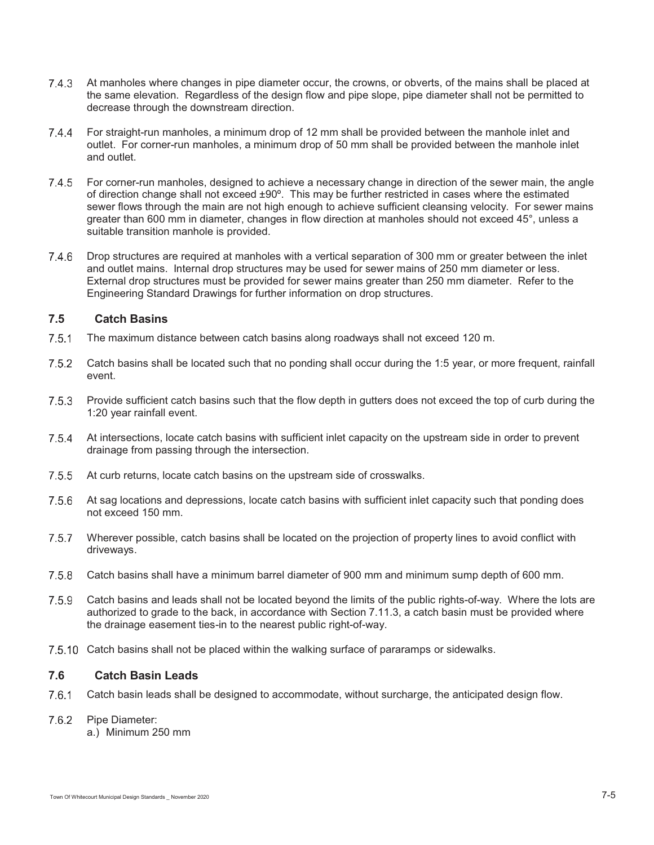- 7.4.3 At manholes where changes in pipe diameter occur, the crowns, or obverts, of the mains shall be placed at the same elevation. Regardless of the design flow and pipe slope, pipe diameter shall not be permitted to decrease through the downstream direction.
- For straight-run manholes, a minimum drop of 12 mm shall be provided between the manhole inlet and outlet. For corner-run manholes, a minimum drop of 50 mm shall be provided between the manhole inlet and outlet.
- 7.4.5 For corner-run manholes, designed to achieve a necessary change in direction of the sewer main, the angle of direction change shall not exceed ±90º. This may be further restricted in cases where the estimated sewer flows through the main are not high enough to achieve sufficient cleansing velocity. For sewer mains greater than 600 mm in diameter, changes in flow direction at manholes should not exceed 45°, unless a suitable transition manhole is provided.
- 7.4.6 Drop structures are required at manholes with a vertical separation of 300 mm or greater between the inlet and outlet mains. Internal drop structures may be used for sewer mains of 250 mm diameter or less. External drop structures must be provided for sewer mains greater than 250 mm diameter. Refer to the Engineering Standard Drawings for further information on drop structures.

# **7.5 Catch Basins**

- The maximum distance between catch basins along roadways shall not exceed 120 m.
- 7.5.2 Catch basins shall be located such that no ponding shall occur during the 1:5 year, or more frequent, rainfall event.
- 7.5.3 Provide sufficient catch basins such that the flow depth in gutters does not exceed the top of curb during the 1:20 year rainfall event.
- 7.5.4 At intersections, locate catch basins with sufficient inlet capacity on the upstream side in order to prevent drainage from passing through the intersection.
- 7.5.5 At curb returns, locate catch basins on the upstream side of crosswalks.
- 7.5.6 At sag locations and depressions, locate catch basins with sufficient inlet capacity such that ponding does not exceed 150 mm.
- 7.5.7 Wherever possible, catch basins shall be located on the projection of property lines to avoid conflict with driveways.
- Catch basins shall have a minimum barrel diameter of 900 mm and minimum sump depth of 600 mm.
- Catch basins and leads shall not be located beyond the limits of the public rights-of-way. Where the lots are authorized to grade to the back, in accordance with Section 7.11.3, a catch basin must be provided where the drainage easement ties-in to the nearest public right-of-way.
- 7.5.10 Catch basins shall not be placed within the walking surface of pararamps or sidewalks.

# **7.6 Catch Basin Leads**

Catch basin leads shall be designed to accommodate, without surcharge, the anticipated design flow.

#### 7.6.2 Pipe Diameter:

a.) Minimum 250 mm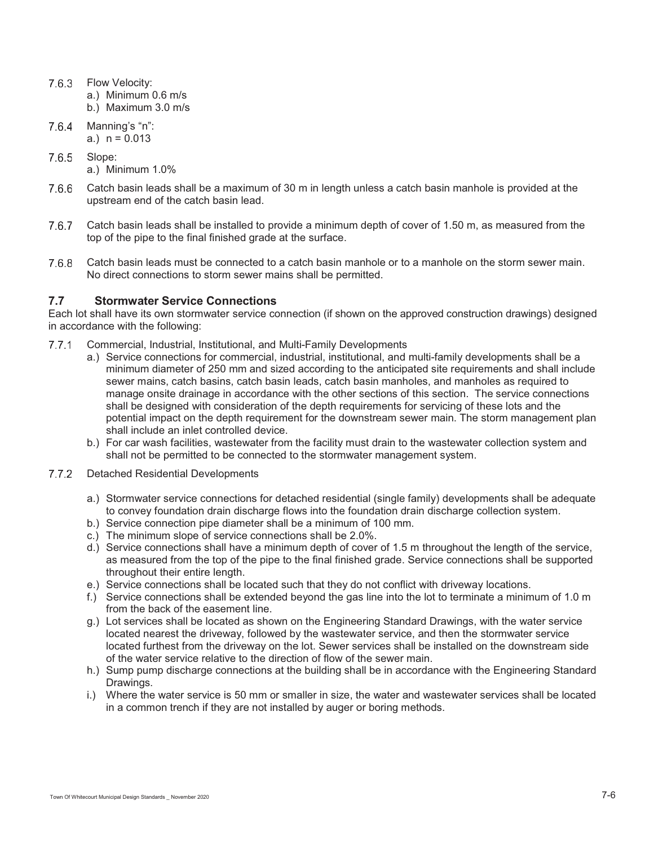- 7.6.3 Flow Velocity:
	- a.) Minimum 0.6 m/s
	- b.) Maximum 3.0 m/s
- $7.6.4$  Manning's "n": a.)  $n = 0.013$
- 7.6.5 Slope:
	- a.) Minimum 1.0%
- Catch basin leads shall be a maximum of 30 m in length unless a catch basin manhole is provided at the upstream end of the catch basin lead.
- Catch basin leads shall be installed to provide a minimum depth of cover of 1.50 m, as measured from the top of the pipe to the final finished grade at the surface.
- Catch basin leads must be connected to a catch basin manhole or to a manhole on the storm sewer main. No direct connections to storm sewer mains shall be permitted.

# **7.7 Stormwater Service Connections**

Each lot shall have its own stormwater service connection (if shown on the approved construction drawings) designed in accordance with the following:

- Commercial, Industrial, Institutional, and Multi-Family Developments
	- a.) Service connections for commercial, industrial, institutional, and multi-family developments shall be a minimum diameter of 250 mm and sized according to the anticipated site requirements and shall include sewer mains, catch basins, catch basin leads, catch basin manholes, and manholes as required to manage onsite drainage in accordance with the other sections of this section. The service connections shall be designed with consideration of the depth requirements for servicing of these lots and the potential impact on the depth requirement for the downstream sewer main. The storm management plan shall include an inlet controlled device.
	- b.) For car wash facilities, wastewater from the facility must drain to the wastewater collection system and shall not be permitted to be connected to the stormwater management system.
- 7.7.2 Detached Residential Developments
	- a.) Stormwater service connections for detached residential (single family) developments shall be adequate to convey foundation drain discharge flows into the foundation drain discharge collection system.
	- b.) Service connection pipe diameter shall be a minimum of 100 mm.
	- c.) The minimum slope of service connections shall be 2.0%.
	- d.) Service connections shall have a minimum depth of cover of 1.5 m throughout the length of the service, as measured from the top of the pipe to the final finished grade. Service connections shall be supported throughout their entire length.
	- e.) Service connections shall be located such that they do not conflict with driveway locations.
	- f.) Service connections shall be extended beyond the gas line into the lot to terminate a minimum of 1.0 m from the back of the easement line.
	- g.) Lot services shall be located as shown on the Engineering Standard Drawings, with the water service located nearest the driveway, followed by the wastewater service, and then the stormwater service located furthest from the driveway on the lot. Sewer services shall be installed on the downstream side of the water service relative to the direction of flow of the sewer main.
	- h.) Sump pump discharge connections at the building shall be in accordance with the Engineering Standard Drawings.
	- i.) Where the water service is 50 mm or smaller in size, the water and wastewater services shall be located in a common trench if they are not installed by auger or boring methods.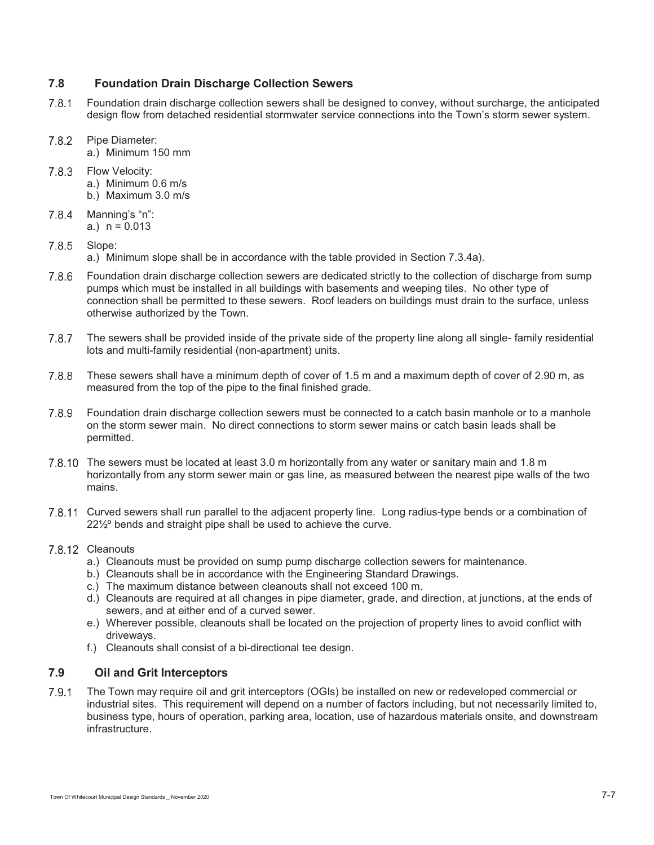# **7.8 Foundation Drain Discharge Collection Sewers**

- Foundation drain discharge collection sewers shall be designed to convey, without surcharge, the anticipated design flow from detached residential stormwater service connections into the Town's storm sewer system.
- 7.8.2 Pipe Diameter: a.) Minimum 150 mm
- 7.8.3 Flow Velocity: a.) Minimum 0.6 m/s b.) Maximum 3.0 m/s
- $7.8.4$  Manning's "n": a.)  $n = 0.013$

# 7.8.5 Slope:

a.) Minimum slope shall be in accordance with the table provided in Section 7.3.4a).

- Foundation drain discharge collection sewers are dedicated strictly to the collection of discharge from sump pumps which must be installed in all buildings with basements and weeping tiles. No other type of connection shall be permitted to these sewers. Roof leaders on buildings must drain to the surface, unless otherwise authorized by the Town.
- The sewers shall be provided inside of the private side of the property line along all single- family residential lots and multi-family residential (non-apartment) units.
- These sewers shall have a minimum depth of cover of 1.5 m and a maximum depth of cover of 2.90 m, as measured from the top of the pipe to the final finished grade.
- Foundation drain discharge collection sewers must be connected to a catch basin manhole or to a manhole on the storm sewer main. No direct connections to storm sewer mains or catch basin leads shall be permitted.
- 7.8.10 The sewers must be located at least 3.0 m horizontally from any water or sanitary main and 1.8 m horizontally from any storm sewer main or gas line, as measured between the nearest pipe walls of the two mains.
- 7.8.11 Curved sewers shall run parallel to the adjacent property line. Long radius-type bends or a combination of 22<sup>1/2</sup> bends and straight pipe shall be used to achieve the curve.

# 7.8.12 Cleanouts

- a.) Cleanouts must be provided on sump pump discharge collection sewers for maintenance.
- b.) Cleanouts shall be in accordance with the Engineering Standard Drawings.
- c.) The maximum distance between cleanouts shall not exceed 100 m.
- d.) Cleanouts are required at all changes in pipe diameter, grade, and direction, at junctions, at the ends of sewers, and at either end of a curved sewer.
- e.) Wherever possible, cleanouts shall be located on the projection of property lines to avoid conflict with driveways.
- f.) Cleanouts shall consist of a bi-directional tee design.

# **7.9 Oil and Grit Interceptors**

 The Town may require oil and grit interceptors (OGIs) be installed on new or redeveloped commercial or industrial sites. This requirement will depend on a number of factors including, but not necessarily limited to, business type, hours of operation, parking area, location, use of hazardous materials onsite, and downstream infrastructure.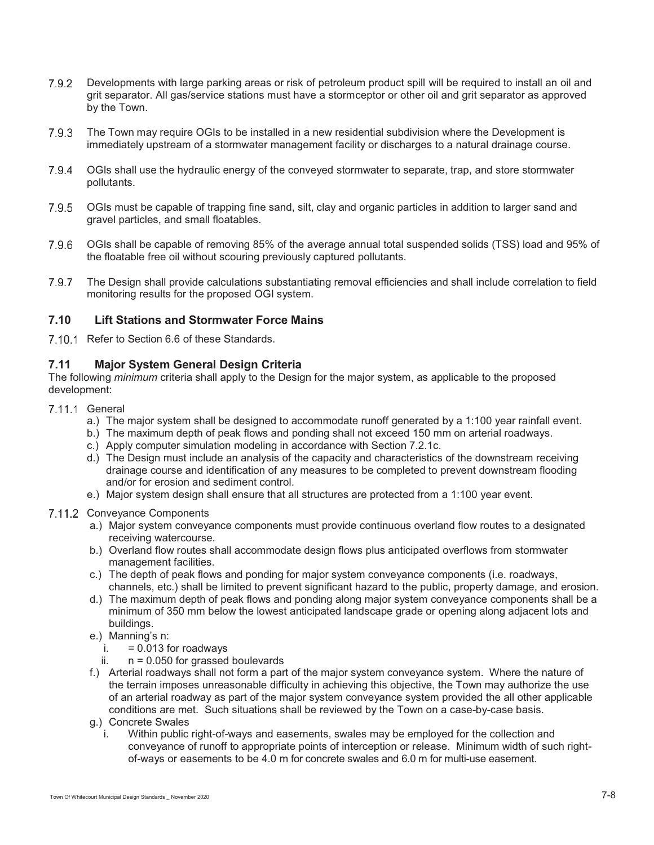- Developments with large parking areas or risk of petroleum product spill will be required to install an oil and grit separator. All gas/service stations must have a stormceptor or other oil and grit separator as approved by the Town.
- The Town may require OGIs to be installed in a new residential subdivision where the Development is immediately upstream of a stormwater management facility or discharges to a natural drainage course.
- 7.9.4 OGIs shall use the hydraulic energy of the conveyed stormwater to separate, trap, and store stormwater pollutants.
- 7.9.5 OGIs must be capable of trapping fine sand, silt, clay and organic particles in addition to larger sand and gravel particles, and small floatables.
- OGIs shall be capable of removing 85% of the average annual total suspended solids (TSS) load and 95% of the floatable free oil without scouring previously captured pollutants.
- The Design shall provide calculations substantiating removal efficiencies and shall include correlation to field monitoring results for the proposed OGI system.

# **7.10 Lift Stations and Stormwater Force Mains**

7.10.1 Refer to Section 6.6 of these Standards.

# **7.11 Major System General Design Criteria**

The following *minimum* criteria shall apply to the Design for the major system, as applicable to the proposed development:

## 7.11.1 General

- a.) The major system shall be designed to accommodate runoff generated by a 1:100 year rainfall event.
- b.) The maximum depth of peak flows and ponding shall not exceed 150 mm on arterial roadways.
- c.) Apply computer simulation modeling in accordance with Section 7.2.1c.
- d.) The Design must include an analysis of the capacity and characteristics of the downstream receiving drainage course and identification of any measures to be completed to prevent downstream flooding and/or for erosion and sediment control.
- e.) Major system design shall ensure that all structures are protected from a 1:100 year event.

#### 7.11.2 Convevance Components

- a.) Major system conveyance components must provide continuous overland flow routes to a designated receiving watercourse.
- b.) Overland flow routes shall accommodate design flows plus anticipated overflows from stormwater management facilities.
- c.) The depth of peak flows and ponding for major system conveyance components (i.e. roadways, channels, etc.) shall be limited to prevent significant hazard to the public, property damage, and erosion.
- d.) The maximum depth of peak flows and ponding along major system conveyance components shall be a minimum of 350 mm below the lowest anticipated landscape grade or opening along adjacent lots and buildings.
- e.) Manning's n:
	- $i. = 0.013$  for roadways
	- ii.  $n = 0.050$  for grassed boulevards
- f.) Arterial roadways shall not form a part of the major system conveyance system. Where the nature of the terrain imposes unreasonable difficulty in achieving this objective, the Town may authorize the use of an arterial roadway as part of the major system conveyance system provided the all other applicable conditions are met. Such situations shall be reviewed by the Town on a case-by-case basis.
- g.) Concrete Swales
	- i. Within public right-of-ways and easements, swales may be employed for the collection and conveyance of runoff to appropriate points of interception or release. Minimum width of such rightof-ways or easements to be 4.0 m for concrete swales and 6.0 m for multi-use easement.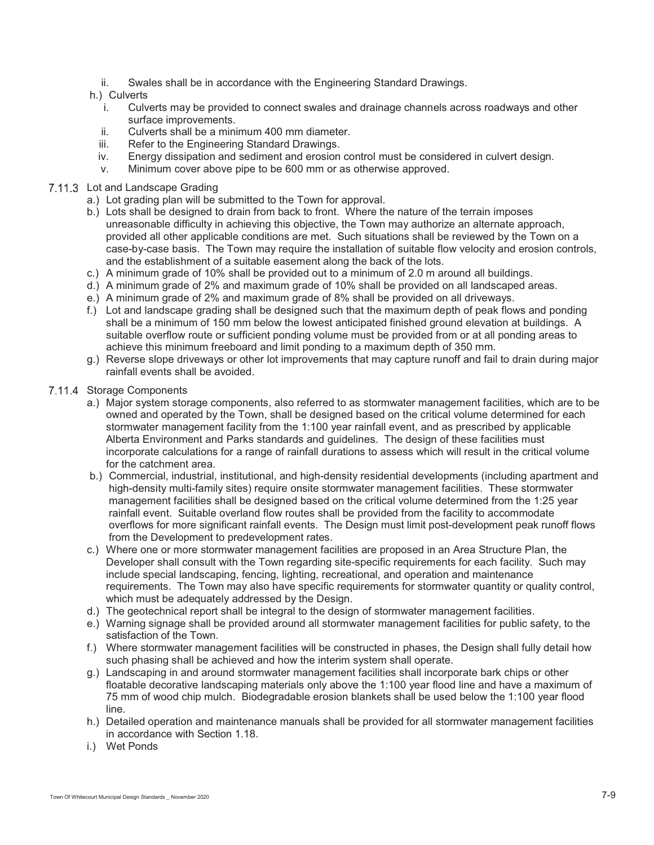ii. Swales shall be in accordance with the Engineering Standard Drawings.

## h.) Culverts

- i. Culverts may be provided to connect swales and drainage channels across roadways and other surface improvements.
- ii. Culverts shall be a minimum 400 mm diameter.
- iii. Refer to the Engineering Standard Drawings.
- iv. Energy dissipation and sediment and erosion control must be considered in culvert design.
- v. Minimum cover above pipe to be 600 mm or as otherwise approved.

## 7.11.3 Lot and Landscape Grading

- a.) Lot grading plan will be submitted to the Town for approval.
- b.) Lots shall be designed to drain from back to front. Where the nature of the terrain imposes unreasonable difficulty in achieving this objective, the Town may authorize an alternate approach, provided all other applicable conditions are met. Such situations shall be reviewed by the Town on a case-by-case basis. The Town may require the installation of suitable flow velocity and erosion controls, and the establishment of a suitable easement along the back of the lots.
- c.) A minimum grade of 10% shall be provided out to a minimum of 2.0 m around all buildings.
- d.) A minimum grade of 2% and maximum grade of 10% shall be provided on all landscaped areas.
- e.) A minimum grade of 2% and maximum grade of 8% shall be provided on all driveways.
- f.) Lot and landscape grading shall be designed such that the maximum depth of peak flows and ponding shall be a minimum of 150 mm below the lowest anticipated finished ground elevation at buildings. A suitable overflow route or sufficient ponding volume must be provided from or at all ponding areas to achieve this minimum freeboard and limit ponding to a maximum depth of 350 mm.
- g.) Reverse slope driveways or other lot improvements that may capture runoff and fail to drain during major rainfall events shall be avoided.

#### 7.11.4 Storage Components

- a.) Major system storage components, also referred to as stormwater management facilities, which are to be owned and operated by the Town, shall be designed based on the critical volume determined for each stormwater management facility from the 1:100 year rainfall event, and as prescribed by applicable Alberta Environment and Parks standards and guidelines. The design of these facilities must incorporate calculations for a range of rainfall durations to assess which will result in the critical volume for the catchment area.
- b.) Commercial, industrial, institutional, and high-density residential developments (including apartment and high-density multi-family sites) require onsite stormwater management facilities. These stormwater management facilities shall be designed based on the critical volume determined from the 1:25 year rainfall event. Suitable overland flow routes shall be provided from the facility to accommodate overflows for more significant rainfall events. The Design must limit post-development peak runoff flows from the Development to predevelopment rates.
- c.) Where one or more stormwater management facilities are proposed in an Area Structure Plan, the Developer shall consult with the Town regarding site-specific requirements for each facility. Such may include special landscaping, fencing, lighting, recreational, and operation and maintenance requirements. The Town may also have specific requirements for stormwater quantity or quality control, which must be adequately addressed by the Design.
- d.) The geotechnical report shall be integral to the design of stormwater management facilities.
- e.) Warning signage shall be provided around all stormwater management facilities for public safety, to the satisfaction of the Town.
- f.) Where stormwater management facilities will be constructed in phases, the Design shall fully detail how such phasing shall be achieved and how the interim system shall operate.
- g.) Landscaping in and around stormwater management facilities shall incorporate bark chips or other floatable decorative landscaping materials only above the 1:100 year flood line and have a maximum of 75 mm of wood chip mulch. Biodegradable erosion blankets shall be used below the 1:100 year flood line.
- h.) Detailed operation and maintenance manuals shall be provided for all stormwater management facilities in accordance with Section 1.18.
- i.) Wet Ponds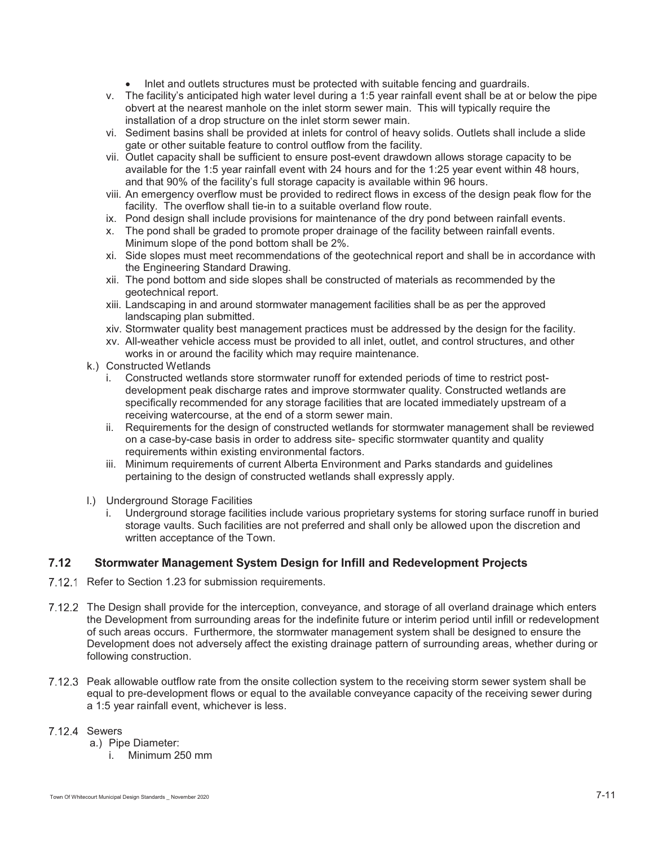- $-$ Inlet and outlets structures must be protected with suitable fencing and guardrails.
- v. The facility's anticipated high water level during a 1:5 year rainfall event shall be at or below the pipe obvert at the nearest manhole on the inlet storm sewer main. This will typically require the installation of a drop structure on the inlet storm sewer main.
- vi. Sediment basins shall be provided at inlets for control of heavy solids. Outlets shall include a slide gate or other suitable feature to control outflow from the facility.
- vii. Outlet capacity shall be sufficient to ensure post-event drawdown allows storage capacity to be available for the 1:5 year rainfall event with 24 hours and for the 1:25 year event within 48 hours, and that 90% of the facility's full storage capacity is available within 96 hours.
- viii. An emergency overflow must be provided to redirect flows in excess of the design peak flow for the facility. The overflow shall tie-in to a suitable overland flow route.
- ix. Pond design shall include provisions for maintenance of the dry pond between rainfall events.
- x. The pond shall be graded to promote proper drainage of the facility between rainfall events. Minimum slope of the pond bottom shall be 2%.
- xi. Side slopes must meet recommendations of the geotechnical report and shall be in accordance with the Engineering Standard Drawing.
- xii. The pond bottom and side slopes shall be constructed of materials as recommended by the geotechnical report.
- xiii. Landscaping in and around stormwater management facilities shall be as per the approved landscaping plan submitted.
- xiv. Stormwater quality best management practices must be addressed by the design for the facility.
- xv. All-weather vehicle access must be provided to all inlet, outlet, and control structures, and other works in or around the facility which may require maintenance.
- k.) Constructed Wetlands
	- i. Constructed wetlands store stormwater runoff for extended periods of time to restrict postdevelopment peak discharge rates and improve stormwater quality. Constructed wetlands are specifically recommended for any storage facilities that are located immediately upstream of a receiving watercourse, at the end of a storm sewer main.
	- ii. Requirements for the design of constructed wetlands for stormwater management shall be reviewed on a case-by-case basis in order to address site- specific stormwater quantity and quality requirements within existing environmental factors.
	- iii. Minimum requirements of current Alberta Environment and Parks standards and guidelines pertaining to the design of constructed wetlands shall expressly apply.
- l.) Underground Storage Facilities
	- i. Underground storage facilities include various proprietary systems for storing surface runoff in buried storage vaults. Such facilities are not preferred and shall only be allowed upon the discretion and written acceptance of the Town.

## **7.12 Stormwater Management System Design for Infill and Redevelopment Projects**

- 7.12.1 Refer to Section 1.23 for submission requirements.
- The Design shall provide for the interception, conveyance, and storage of all overland drainage which enters the Development from surrounding areas for the indefinite future or interim period until infill or redevelopment of such areas occurs. Furthermore, the stormwater management system shall be designed to ensure the Development does not adversely affect the existing drainage pattern of surrounding areas, whether during or following construction.
- Peak allowable outflow rate from the onsite collection system to the receiving storm sewer system shall be equal to pre-development flows or equal to the available conveyance capacity of the receiving sewer during a 1:5 year rainfall event, whichever is less.
- 7.12.4 Sewers
	- a.) Pipe Diameter:
		- i. Minimum 250 mm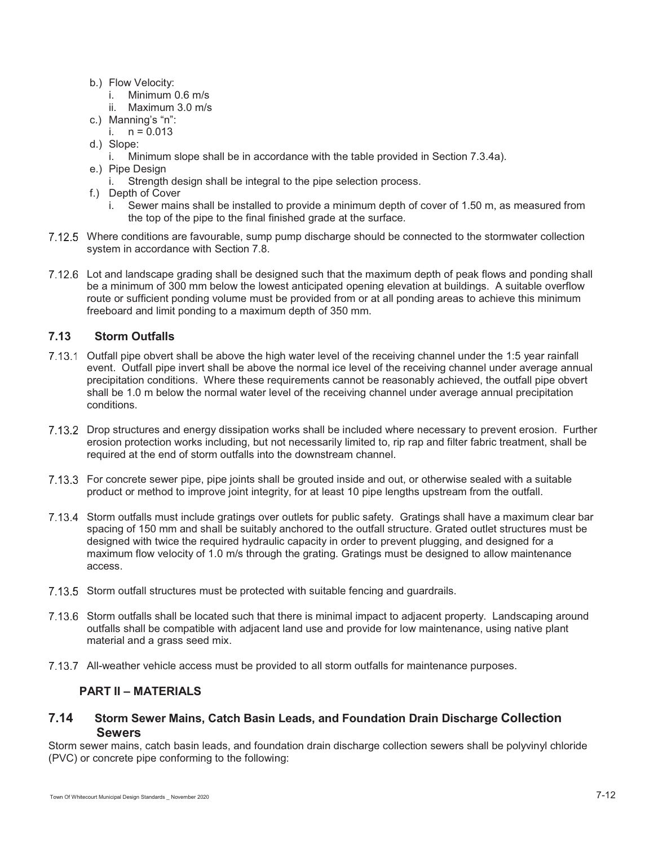- b.) Flow Velocity:
	- i. Minimum 0.6 m/s
	- ii. Maximum 3.0 m/s
- c.) Manning's "n":
	- i.  $n = 0.013$
- d.) Slope:
	- i. Minimum slope shall be in accordance with the table provided in Section 7.3.4a).
- e.) Pipe Design
	- i. Strength design shall be integral to the pipe selection process.
- f.) Depth of Cover
	- i. Sewer mains shall be installed to provide a minimum depth of cover of 1.50 m, as measured from the top of the pipe to the final finished grade at the surface.
- 7.12.5 Where conditions are favourable, sump pump discharge should be connected to the stormwater collection system in accordance with Section 7.8.
- 7.12.6 Lot and landscape grading shall be designed such that the maximum depth of peak flows and ponding shall be a minimum of 300 mm below the lowest anticipated opening elevation at buildings. A suitable overflow route or sufficient ponding volume must be provided from or at all ponding areas to achieve this minimum freeboard and limit ponding to a maximum depth of 350 mm.

# **7.13 Storm Outfalls**

- 7.13.1 Outfall pipe obvert shall be above the high water level of the receiving channel under the 1:5 year rainfall event. Outfall pipe invert shall be above the normal ice level of the receiving channel under average annual precipitation conditions. Where these requirements cannot be reasonably achieved, the outfall pipe obvert shall be 1.0 m below the normal water level of the receiving channel under average annual precipitation conditions.
- 7.13.2 Drop structures and energy dissipation works shall be included where necessary to prevent erosion. Further erosion protection works including, but not necessarily limited to, rip rap and filter fabric treatment, shall be required at the end of storm outfalls into the downstream channel.
- For concrete sewer pipe, pipe joints shall be grouted inside and out, or otherwise sealed with a suitable product or method to improve joint integrity, for at least 10 pipe lengths upstream from the outfall.
- 7.13.4 Storm outfalls must include gratings over outlets for public safety. Gratings shall have a maximum clear bar spacing of 150 mm and shall be suitably anchored to the outfall structure. Grated outlet structures must be designed with twice the required hydraulic capacity in order to prevent plugging, and designed for a maximum flow velocity of 1.0 m/s through the grating. Gratings must be designed to allow maintenance access.
- 7.13.5 Storm outfall structures must be protected with suitable fencing and guardrails.
- 7.13.6 Storm outfalls shall be located such that there is minimal impact to adjacent property. Landscaping around outfalls shall be compatible with adjacent land use and provide for low maintenance, using native plant material and a grass seed mix.
- 7.13.7 All-weather vehicle access must be provided to all storm outfalls for maintenance purposes.

# **PART II – MATERIALS**

# **7.14 Storm Sewer Mains, Catch Basin Leads, and Foundation Drain Discharge Collection Sewers**

Storm sewer mains, catch basin leads, and foundation drain discharge collection sewers shall be polyvinyl chloride (PVC) or concrete pipe conforming to the following: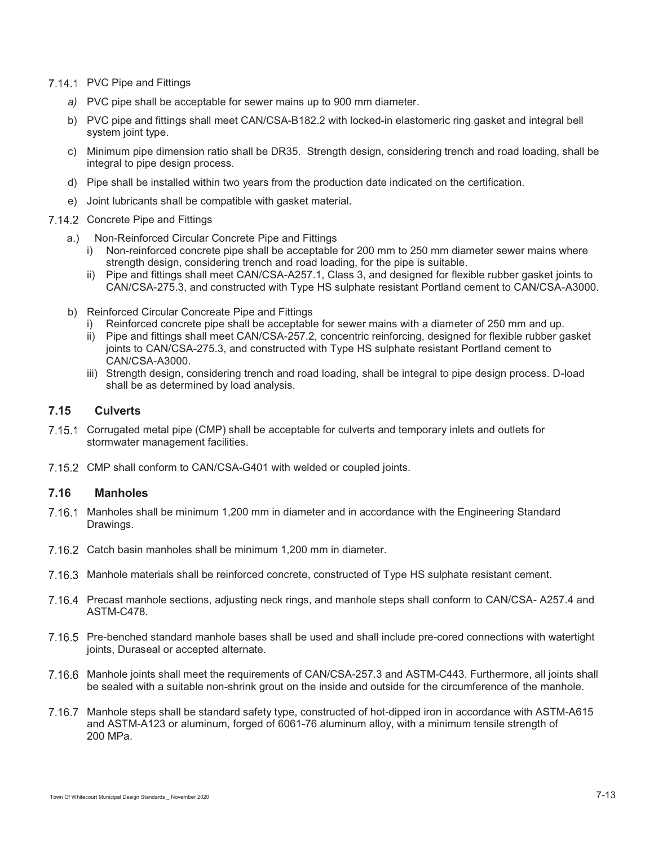- 7.14.1 PVC Pipe and Fittings
	- *a)* PVC pipe shall be acceptable for sewer mains up to 900 mm diameter.
	- b) PVC pipe and fittings shall meet CAN/CSA-B182.2 with locked-in elastomeric ring gasket and integral bell system joint type.
	- c) Minimum pipe dimension ratio shall be DR35. Strength design, considering trench and road loading, shall be integral to pipe design process.
	- d) Pipe shall be installed within two years from the production date indicated on the certification.
	- e) Joint lubricants shall be compatible with gasket material.
- 7.14.2 Concrete Pipe and Fittings
	- a.) Non-Reinforced Circular Concrete Pipe and Fittings
		- i) Non-reinforced concrete pipe shall be acceptable for 200 mm to 250 mm diameter sewer mains where strength design, considering trench and road loading, for the pipe is suitable.
		- ii) Pipe and fittings shall meet CAN/CSA-A257.1, Class 3, and designed for flexible rubber gasket joints to CAN/CSA-275.3, and constructed with Type HS sulphate resistant Portland cement to CAN/CSA-A3000.
	- b) Reinforced Circular Concreate Pipe and Fittings
		- Reinforced concrete pipe shall be acceptable for sewer mains with a diameter of 250 mm and up.
		- ii) Pipe and fittings shall meet CAN/CSA-257.2, concentric reinforcing, designed for flexible rubber gasket joints to CAN/CSA-275.3, and constructed with Type HS sulphate resistant Portland cement to CAN/CSA-A3000.
		- iii) Strength design, considering trench and road loading, shall be integral to pipe design process. D-load shall be as determined by load analysis.

# **7.15 Culverts**

- 7.15.1 Corrugated metal pipe (CMP) shall be acceptable for culverts and temporary inlets and outlets for stormwater management facilities.
- 7.15.2 CMP shall conform to CAN/CSA-G401 with welded or coupled joints.

# **7.16 Manholes**

- 7.16.1 Manholes shall be minimum 1,200 mm in diameter and in accordance with the Engineering Standard Drawings.
- 7.16.2 Catch basin manholes shall be minimum 1,200 mm in diameter.
- 7.16.3 Manhole materials shall be reinforced concrete, constructed of Type HS sulphate resistant cement.
- Precast manhole sections, adjusting neck rings, and manhole steps shall conform to CAN/CSA- A257.4 and ASTM-C478.
- Pre-benched standard manhole bases shall be used and shall include pre-cored connections with watertight joints, Duraseal or accepted alternate.
- 7.16.6 Manhole joints shall meet the requirements of CAN/CSA-257.3 and ASTM-C443. Furthermore, all joints shall be sealed with a suitable non-shrink grout on the inside and outside for the circumference of the manhole.
- 7.16.7 Manhole steps shall be standard safety type, constructed of hot-dipped iron in accordance with ASTM-A615 and ASTM-A123 or aluminum, forged of 6061-76 aluminum alloy, with a minimum tensile strength of 200 MPa.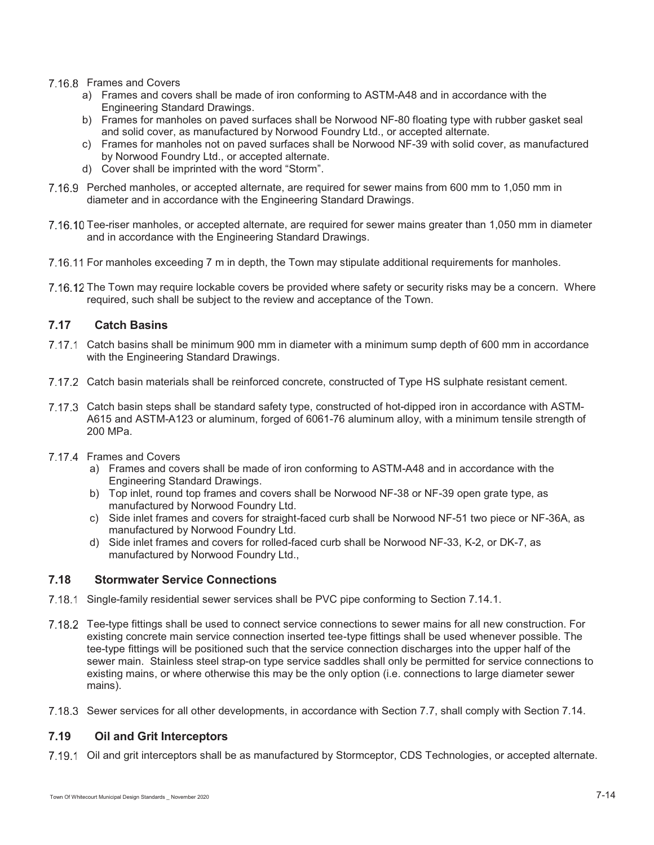# 7.16.8 Frames and Covers

- a) Frames and covers shall be made of iron conforming to ASTM-A48 and in accordance with the Engineering Standard Drawings.
- b) Frames for manholes on paved surfaces shall be Norwood NF-80 floating type with rubber gasket seal and solid cover, as manufactured by Norwood Foundry Ltd., or accepted alternate.
- c) Frames for manholes not on paved surfaces shall be Norwood NF-39 with solid cover, as manufactured by Norwood Foundry Ltd., or accepted alternate.
- d) Cover shall be imprinted with the word "Storm".
- Perched manholes, or accepted alternate, are required for sewer mains from 600 mm to 1,050 mm in diameter and in accordance with the Engineering Standard Drawings.
- 7.16.10 Tee-riser manholes, or accepted alternate, are required for sewer mains greater than 1,050 mm in diameter and in accordance with the Engineering Standard Drawings.
- 7.16.11 For manholes exceeding 7 m in depth, the Town may stipulate additional requirements for manholes.
- 7.16.12 The Town may require lockable covers be provided where safety or security risks may be a concern. Where required, such shall be subject to the review and acceptance of the Town.

# **7.17 Catch Basins**

- 7.17.1 Catch basins shall be minimum 900 mm in diameter with a minimum sump depth of 600 mm in accordance with the Engineering Standard Drawings.
- 7.17.2 Catch basin materials shall be reinforced concrete, constructed of Type HS sulphate resistant cement.
- 7.17.3 Catch basin steps shall be standard safety type, constructed of hot-dipped iron in accordance with ASTM-A615 and ASTM-A123 or aluminum, forged of 6061-76 aluminum alloy, with a minimum tensile strength of 200 MPa.
- 7.17.4 Frames and Covers
	- a) Frames and covers shall be made of iron conforming to ASTM-A48 and in accordance with the Engineering Standard Drawings.
	- b) Top inlet, round top frames and covers shall be Norwood NF-38 or NF-39 open grate type, as manufactured by Norwood Foundry Ltd.
	- c) Side inlet frames and covers for straight-faced curb shall be Norwood NF-51 two piece or NF-36A, as manufactured by Norwood Foundry Ltd.
	- d) Side inlet frames and covers for rolled-faced curb shall be Norwood NF-33, K-2, or DK-7, as manufactured by Norwood Foundry Ltd.,

# **7.18 Stormwater Service Connections**

- 7.18.1 Single-family residential sewer services shall be PVC pipe conforming to Section 7.14.1.
- Tee-type fittings shall be used to connect service connections to sewer mains for all new construction. For existing concrete main service connection inserted tee-type fittings shall be used whenever possible. The tee-type fittings will be positioned such that the service connection discharges into the upper half of the sewer main. Stainless steel strap-on type service saddles shall only be permitted for service connections to existing mains, or where otherwise this may be the only option (i.e. connections to large diameter sewer mains).
- 7.18.3 Sewer services for all other developments, in accordance with Section 7.7, shall comply with Section 7.14.

# **7.19 Oil and Grit Interceptors**

7.19.1 Oil and grit interceptors shall be as manufactured by Stormceptor, CDS Technologies, or accepted alternate.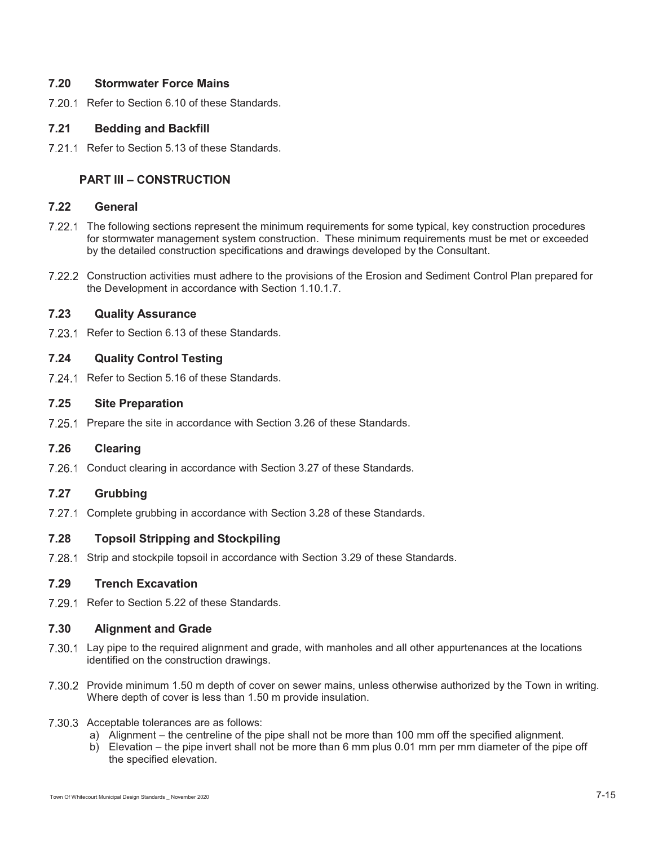# **7.20 Stormwater Force Mains**

7.20.1 Refer to Section 6.10 of these Standards.

# **7.21 Bedding and Backfill**

7.21.1 Refer to Section 5.13 of these Standards.

# **PART III – CONSTRUCTION**

# **7.22 General**

- The following sections represent the minimum requirements for some typical, key construction procedures for stormwater management system construction. These minimum requirements must be met or exceeded by the detailed construction specifications and drawings developed by the Consultant.
- 7.22.2 Construction activities must adhere to the provisions of the Erosion and Sediment Control Plan prepared for the Development in accordance with Section 1.10.1.7.

## **7.23 Quality Assurance**

7.23.1 Refer to Section 6.13 of these Standards.

# **7.24 Quality Control Testing**

7.24.1 Refer to Section 5.16 of these Standards.

## **7.25 Site Preparation**

7.25.1 Prepare the site in accordance with Section 3.26 of these Standards.

# **7.26 Clearing**

7.26.1 Conduct clearing in accordance with Section 3.27 of these Standards.

# **7.27 Grubbing**

7.27.1 Complete grubbing in accordance with Section 3.28 of these Standards.

# **7.28 Topsoil Stripping and Stockpiling**

7.28.1 Strip and stockpile topsoil in accordance with Section 3.29 of these Standards.

# **7.29 Trench Excavation**

7.29.1 Refer to Section 5.22 of these Standards.

#### **7.30 Alignment and Grade**

- 7.30.1 Lay pipe to the required alignment and grade, with manholes and all other appurtenances at the locations identified on the construction drawings.
- 7.30.2 Provide minimum 1.50 m depth of cover on sewer mains, unless otherwise authorized by the Town in writing. Where depth of cover is less than 1.50 m provide insulation.
- 7.30.3 Acceptable tolerances are as follows:
	- a) Alignment the centreline of the pipe shall not be more than 100 mm off the specified alignment.
	- b) Elevation the pipe invert shall not be more than 6 mm plus 0.01 mm per mm diameter of the pipe off the specified elevation.